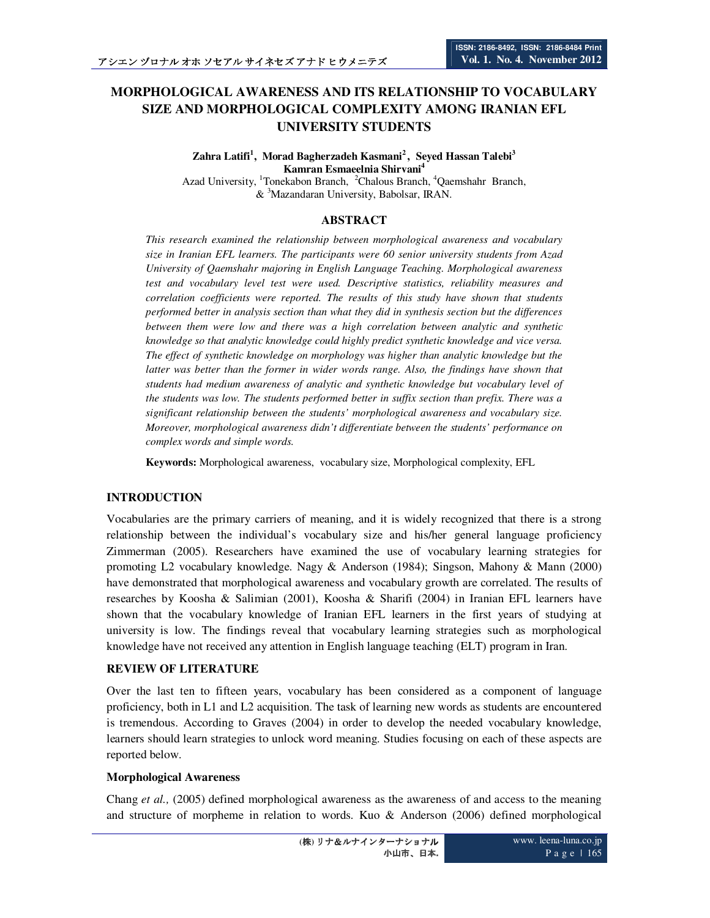# **MORPHOLOGICAL AWARENESS AND ITS RELATIONSHIP TO VOCABULARY SIZE AND MORPHOLOGICAL COMPLEXITY AMONG IRANIAN EFL UNIVERSITY STUDENTS**

**Zahra Latifi<sup>1</sup> , Morad Bagherzadeh Kasmani<sup>2</sup>, Seyed Hassan Talebi<sup>3</sup> Kamran Esmaeelnia Shirvani<sup>4</sup>** Azad University, <sup>1</sup>Tonekabon Branch, <sup>2</sup>Chalous Branch, <sup>4</sup>Qaemshahr Branch,

& <sup>3</sup>Mazandaran University, Babolsar, IRAN.

## **ABSTRACT**

*This research examined the relationship between morphological awareness and vocabulary size in Iranian EFL learners. The participants were 60 senior university students from Azad University of Qaemshahr majoring in English Language Teaching. Morphological awareness test and vocabulary level test were used. Descriptive statistics, reliability measures and correlation coefficients were reported. The results of this study have shown that students performed better in analysis section than what they did in synthesis section but the differences between them were low and there was a high correlation between analytic and synthetic knowledge so that analytic knowledge could highly predict synthetic knowledge and vice versa. The effect of synthetic knowledge on morphology was higher than analytic knowledge but the latter was better than the former in wider words range. Also, the findings have shown that students had medium awareness of analytic and synthetic knowledge but vocabulary level of the students was low. The students performed better in suffix section than prefix. There was a significant relationship between the students' morphological awareness and vocabulary size. Moreover, morphological awareness didn't differentiate between the students' performance on complex words and simple words.* 

**Keywords:** Morphological awareness, vocabulary size, Morphological complexity, EFL

# **INTRODUCTION**

Vocabularies are the primary carriers of meaning, and it is widely recognized that there is a strong relationship between the individual's vocabulary size and his/her general language proficiency Zimmerman (2005). Researchers have examined the use of vocabulary learning strategies for promoting L2 vocabulary knowledge. Nagy & Anderson (1984); Singson, Mahony & Mann (2000) have demonstrated that morphological awareness and vocabulary growth are correlated. The results of researches by Koosha & Salimian (2001), Koosha & Sharifi (2004) in Iranian EFL learners have shown that the vocabulary knowledge of Iranian EFL learners in the first years of studying at university is low. The findings reveal that vocabulary learning strategies such as morphological knowledge have not received any attention in English language teaching (ELT) program in Iran.

## **REVIEW OF LITERATURE**

Over the last ten to fifteen years, vocabulary has been considered as a component of language proficiency, both in L1 and L2 acquisition. The task of learning new words as students are encountered is tremendous. According to Graves (2004) in order to develop the needed vocabulary knowledge, learners should learn strategies to unlock word meaning. Studies focusing on each of these aspects are reported below.

#### **Morphological Awareness**

Chang *et al.,* (2005) defined morphological awareness as the awareness of and access to the meaning and structure of morpheme in relation to words. Kuo & Anderson (2006) defined morphological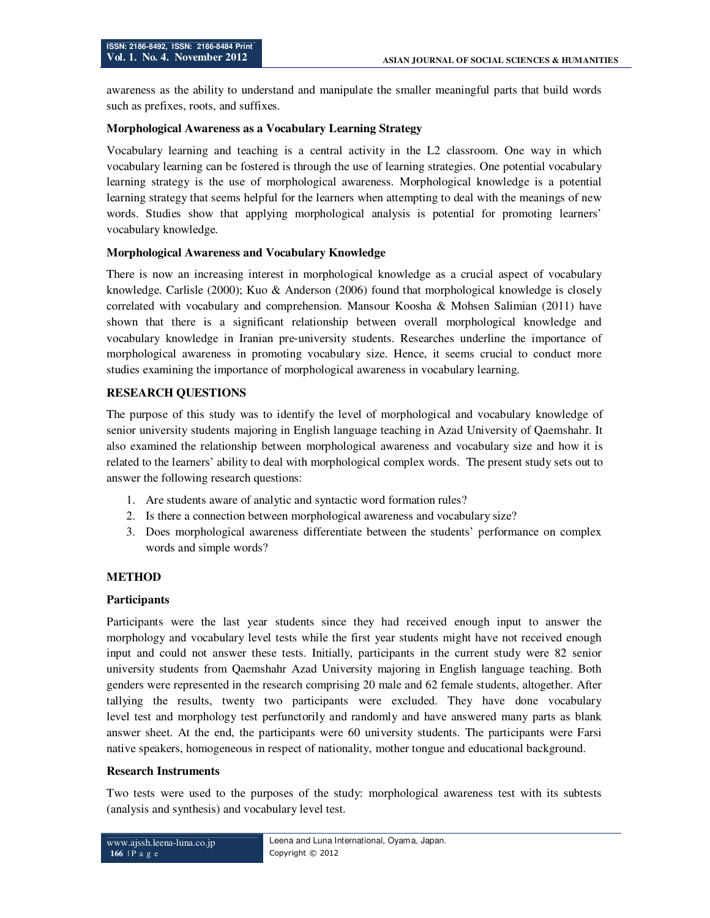awareness as the ability to understand and manipulate the smaller meaningful parts that build words such as prefixes, roots, and suffixes.

## **Morphological Awareness as a Vocabulary Learning Strategy**

Vocabulary learning and teaching is a central activity in the L2 classroom. One way in which vocabulary learning can be fostered is through the use of learning strategies. One potential vocabulary learning strategy is the use of morphological awareness. Morphological knowledge is a potential learning strategy that seems helpful for the learners when attempting to deal with the meanings of new words. Studies show that applying morphological analysis is potential for promoting learners' vocabulary knowledge.

## **Morphological Awareness and Vocabulary Knowledge**

There is now an increasing interest in morphological knowledge as a crucial aspect of vocabulary knowledge. Carlisle (2000); Kuo & Anderson (2006) found that morphological knowledge is closely correlated with vocabulary and comprehension. Mansour Koosha & Mohsen Salimian (2011) have shown that there is a significant relationship between overall morphological knowledge and vocabulary knowledge in Iranian pre‐university students. Researches underline the importance of morphological awareness in promoting vocabulary size. Hence, it seems crucial to conduct more studies examining the importance of morphological awareness in vocabulary learning.

# **RESEARCH QUESTIONS**

The purpose of this study was to identify the level of morphological and vocabulary knowledge of senior university students majoring in English language teaching in Azad University of Qaemshahr. It also examined the relationship between morphological awareness and vocabulary size and how it is related to the learners' ability to deal with morphological complex words. The present study sets out to answer the following research questions:

- 1. Are students aware of analytic and syntactic word formation rules?
- 2. Is there a connection between morphological awareness and vocabulary size?
- 3. Does morphological awareness differentiate between the students' performance on complex words and simple words?

# **METHOD**

#### **Participants**

Participants were the last year students since they had received enough input to answer the morphology and vocabulary level tests while the first year students might have not received enough input and could not answer these tests. Initially, participants in the current study were 82 senior university students from Qaemshahr Azad University majoring in English language teaching. Both genders were represented in the research comprising 20 male and 62 female students, altogether. After tallying the results, twenty two participants were excluded. They have done vocabulary level test and morphology test perfunctorily and randomly and have answered many parts as blank answer sheet. At the end, the participants were 60 university students. The participants were Farsi native speakers, homogeneous in respect of nationality, mother tongue and educational background.

#### **Research Instruments**

Two tests were used to the purposes of the study: morphological awareness test with its subtests (analysis and synthesis) and vocabulary level test.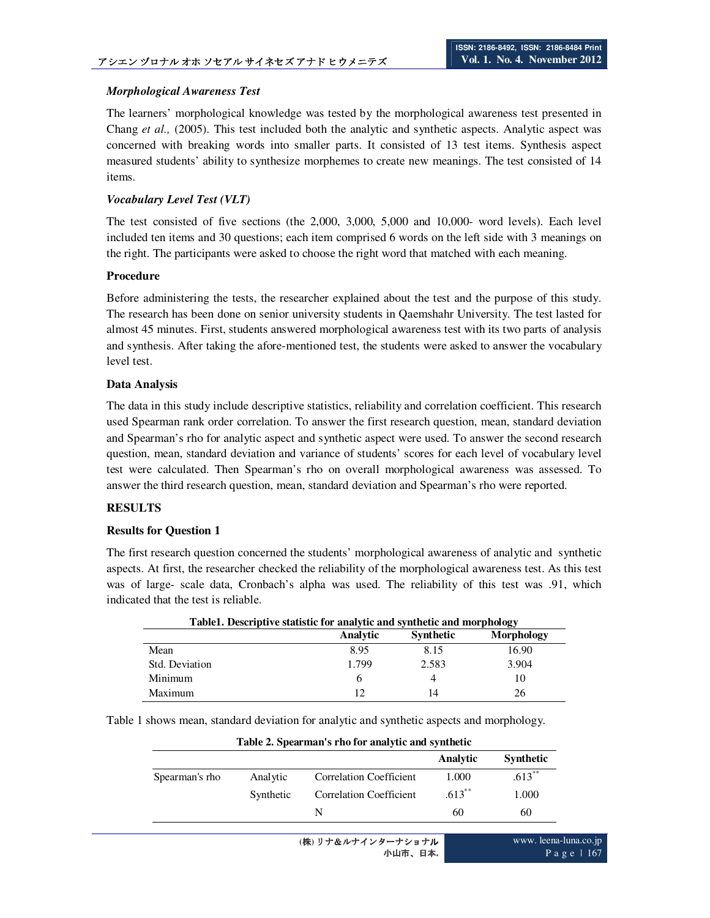## *Morphological Awareness Test*

The learners' morphological knowledge was tested by the morphological awareness test presented in Chang *et al.,* (2005). This test included both the analytic and synthetic aspects. Analytic aspect was concerned with breaking words into smaller parts. It consisted of 13 test items. Synthesis aspect measured students' ability to synthesize morphemes to create new meanings. The test consisted of 14 items.

#### *Vocabulary Level Test (VLT)*

The test consisted of five sections (the 2,000, 3,000, 5,000 and 10,000- word levels). Each level included ten items and 30 questions; each item comprised 6 words on the left side with 3 meanings on the right. The participants were asked to choose the right word that matched with each meaning.

#### **Procedure**

Before administering the tests, the researcher explained about the test and the purpose of this study. The research has been done on senior university students in Qaemshahr University. The test lasted for almost 45 minutes. First, students answered morphological awareness test with its two parts of analysis and synthesis. After taking the afore-mentioned test, the students were asked to answer the vocabulary level test.

#### **Data Analysis**

The data in this study include descriptive statistics, reliability and correlation coefficient. This research used Spearman rank order correlation. To answer the first research question, mean, standard deviation and Spearman's rho for analytic aspect and synthetic aspect were used. To answer the second research question, mean, standard deviation and variance of students' scores for each level of vocabulary level test were calculated. Then Spearman's rho on overall morphological awareness was assessed. To answer the third research question, mean, standard deviation and Spearman's rho were reported.

#### **RESULTS**

#### **Results for Question 1**

The first research question concerned the students' morphological awareness of analytic and synthetic aspects. At first, the researcher checked the reliability of the morphological awareness test. As this test was of large- scale data, Cronbach's alpha was used. The reliability of this test was .91, which indicated that the test is reliable.

| Table1. Descriptive statistic for analytic and synthetic and morphology |          |                  |            |  |  |  |  |
|-------------------------------------------------------------------------|----------|------------------|------------|--|--|--|--|
|                                                                         | Analytic | <b>Synthetic</b> | Morphology |  |  |  |  |
| Mean                                                                    | 8.95     | 8.15             | 16.90      |  |  |  |  |
| Std. Deviation                                                          | 1.799    | 2.583            | 3.904      |  |  |  |  |
| Minimum                                                                 | h        | 4                | 10         |  |  |  |  |
| Maximum                                                                 | 12       | 14               | 26         |  |  |  |  |

Table 1 shows mean, standard deviation for analytic and synthetic aspects and morphology.

| Table 2. Spearman s rho for analytic and synthetic |           |                                |           |                  |  |  |  |
|----------------------------------------------------|-----------|--------------------------------|-----------|------------------|--|--|--|
|                                                    |           |                                | Analytic  | <b>Synthetic</b> |  |  |  |
| Spearman's rho                                     | Analytic  | <b>Correlation Coefficient</b> | 1.000     | $.613$ **        |  |  |  |
|                                                    | Synthetic | <b>Correlation Coefficient</b> | $.613***$ | 1.000            |  |  |  |
|                                                    |           | N                              | 60        | 60               |  |  |  |

#### **Table 2. Spearman's rho for analytic and synthetic**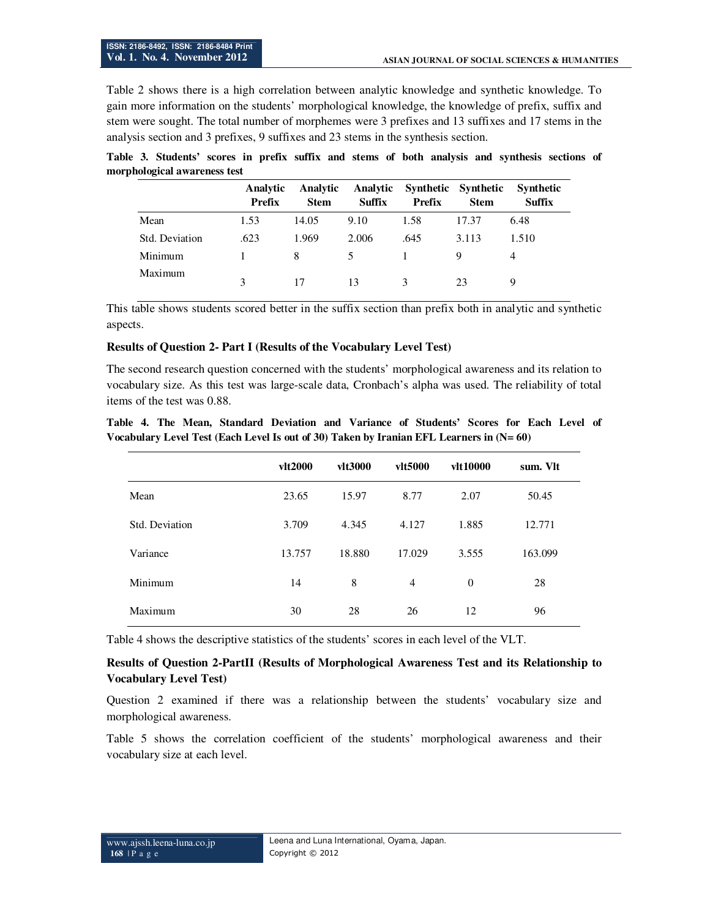Table 2 shows there is a high correlation between analytic knowledge and synthetic knowledge. To gain more information on the students' morphological knowledge, the knowledge of prefix, suffix and stem were sought. The total number of morphemes were 3 prefixes and 13 suffixes and 17 stems in the analysis section and 3 prefixes, 9 suffixes and 23 stems in the synthesis section.

**Table 3. Students' scores in prefix suffix and stems of both analysis and synthesis sections of morphological awareness test** 

|                | Analytic<br><b>Prefix</b> | Analytic<br><b>Stem</b> | Analytic<br><b>Suffix</b> | Synthetic Synthetic<br>Prefix | <b>Stem</b> | Synthetic<br>Suffix |
|----------------|---------------------------|-------------------------|---------------------------|-------------------------------|-------------|---------------------|
| Mean           | 1.53                      | 14.05                   | 9.10                      | 1.58                          | 17.37       | 6.48                |
| Std. Deviation | .623                      | 1.969                   | 2.006                     | .645                          | 3.113       | 1.510               |
| Minimum        |                           | 8                       | 5                         |                               | Q           | 4                   |
| Maximum        | 3                         | 17                      | 13                        | 3                             | 23          | 9                   |

This table shows students scored better in the suffix section than prefix both in analytic and synthetic aspects.

#### **Results of Question 2- Part I (Results of the Vocabulary Level Test)**

The second research question concerned with the students' morphological awareness and its relation to vocabulary size. As this test was large-scale data, Cronbach's alpha was used. The reliability of total items of the test was 0.88.

|  |  | Table 4. The Mean, Standard Deviation and Variance of Students' Scores for Each Level of  |  |  |  |  |  |
|--|--|-------------------------------------------------------------------------------------------|--|--|--|--|--|
|  |  | Vocabulary Level Test (Each Level Is out of 30) Taken by Iranian EFL Learners in $(N=60)$ |  |  |  |  |  |

|                | vlt2000 | vlt3000 | vlt5000        | vlt10000 | sum. VIt |
|----------------|---------|---------|----------------|----------|----------|
| Mean           | 23.65   | 15.97   | 8.77           | 2.07     | 50.45    |
| Std. Deviation | 3.709   | 4.345   | 4.127          | 1.885    | 12.771   |
| Variance       | 13.757  | 18.880  | 17.029         | 3.555    | 163.099  |
| Minimum        | 14      | 8       | $\overline{4}$ | $\theta$ | 28       |
| Maximum        | 30      | 28      | 26             | 12       | 96       |

Table 4 shows the descriptive statistics of the students' scores in each level of the VLT.

## **Results of Question 2-PartII (Results of Morphological Awareness Test and its Relationship to Vocabulary Level Test)**

Question 2 examined if there was a relationship between the students' vocabulary size and morphological awareness.

Table 5 shows the correlation coefficient of the students' morphological awareness and their vocabulary size at each level.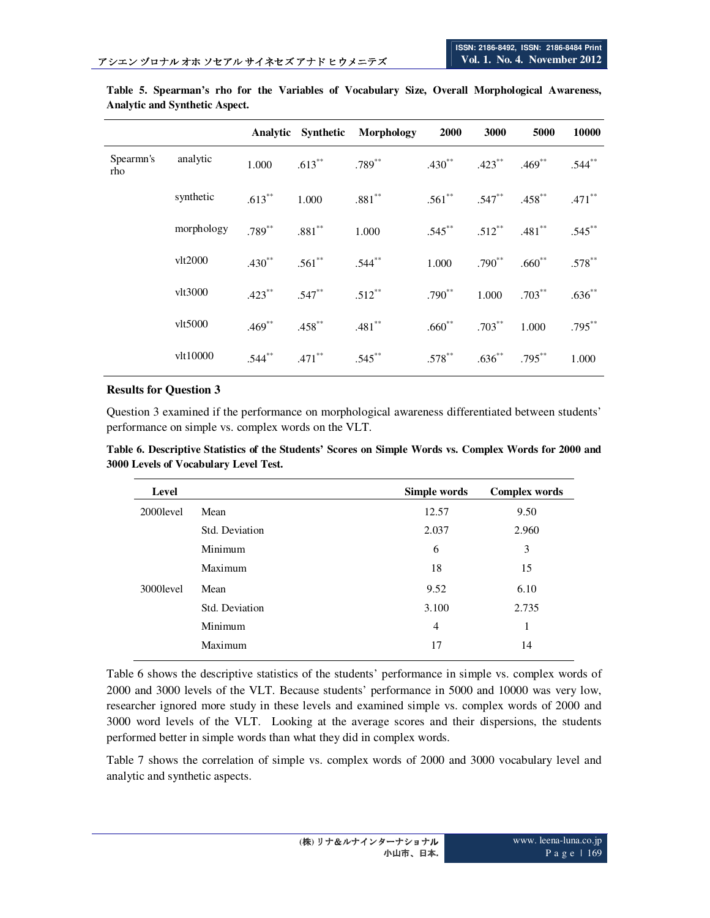|                  |               |           |                      | Analytic Synthetic Morphology | <b>2000</b> | 3000        | 5000                          | 10000       |
|------------------|---------------|-----------|----------------------|-------------------------------|-------------|-------------|-------------------------------|-------------|
| Spearmn's<br>rho | analytic      | 1.000     | $.613***$            | $.789^{**}$                   | $.430**$    | $.423***$   | $.469$ **                     | $.544**$    |
|                  | synthetic     | $.613***$ | 1.000                | $.881**$                      |             |             | $.561$ ** $.547$ ** $.458$ ** | $.471$ **   |
|                  | morphology    | $.789***$ | $.881***$            | 1.000                         | $.545***$   | $.512***$   | $.481**$                      | $.545***$   |
|                  | vlt2000       | $.430**$  | $.561***$            | $.544***$                     | 1.000       | $.790^{**}$ | $.660^{**}$                   | $.578^{**}$ |
|                  | vlt3000       | $.423***$ | $.547***$            | $.512***$                     | $.790^{**}$ | 1.000       | $.703***$                     | $.636**$    |
|                  | $v$ lt $5000$ | $.469**$  | $.458$ **            | $.481$ **                     | $.660**$    | $.703***$   | 1.000                         | $.795***$   |
|                  | vlt10000      | $.544***$ | $.471$ <sup>**</sup> | $.545***$                     | $.578***$   | $.636^{**}$ | $.795***$                     | 1.000       |

**Table 5. Spearman's rho for the Variables of Vocabulary Size, Overall Morphological Awareness, Analytic and Synthetic Aspect.** 

#### **Results for Question 3**

Question 3 examined if the performance on morphological awareness differentiated between students' performance on simple vs. complex words on the VLT.

| Table 6. Descriptive Statistics of the Students' Scores on Simple Words vs. Complex Words for 2000 and |  |  |  |  |
|--------------------------------------------------------------------------------------------------------|--|--|--|--|
| 3000 Levels of Vocabulary Level Test.                                                                  |  |  |  |  |

| Level      |                | Simple words   | <b>Complex words</b> |
|------------|----------------|----------------|----------------------|
| 2000level  | Mean           | 12.57          | 9.50                 |
|            | Std. Deviation | 2.037          | 2.960                |
|            | Minimum        | 6              | 3                    |
|            | Maximum        | 18             | 15                   |
| 3000 level | Mean           | 9.52           | 6.10                 |
|            | Std. Deviation | 3.100          | 2.735                |
|            | Minimum        | $\overline{4}$ | 1                    |
|            | Maximum        | 17             | 14                   |

Table 6 shows the descriptive statistics of the students' performance in simple vs. complex words of 2000 and 3000 levels of the VLT. Because students' performance in 5000 and 10000 was very low, researcher ignored more study in these levels and examined simple vs. complex words of 2000 and 3000 word levels of the VLT. Looking at the average scores and their dispersions, the students performed better in simple words than what they did in complex words.

Table 7 shows the correlation of simple vs. complex words of 2000 and 3000 vocabulary level and analytic and synthetic aspects.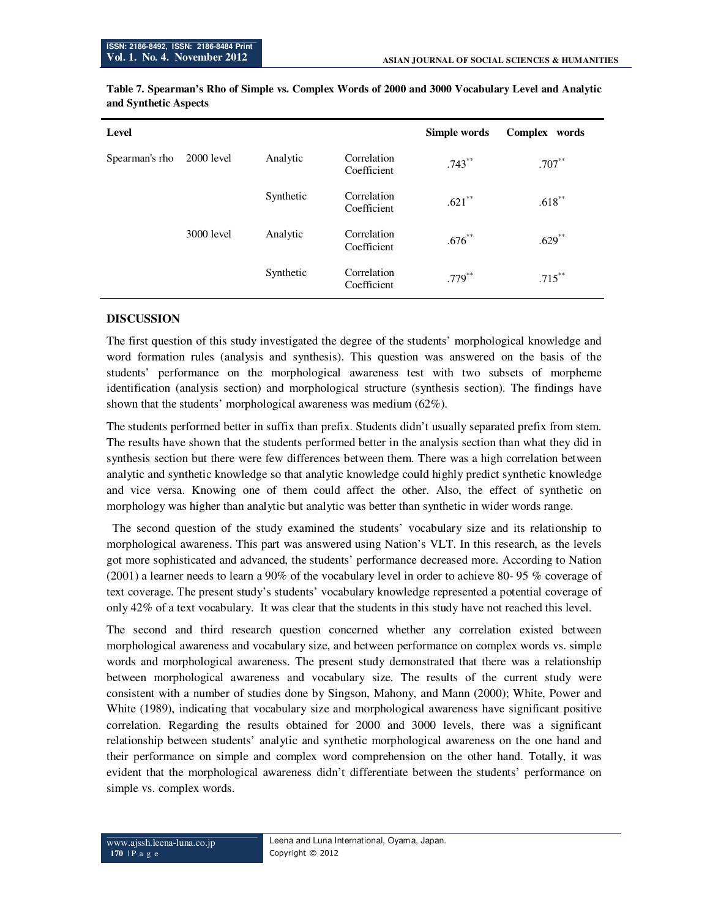| Level          |              |           |                            | Simple words | Complex<br>words |
|----------------|--------------|-----------|----------------------------|--------------|------------------|
| Spearman's rho | $2000$ level | Analytic  | Correlation<br>Coefficient | $.743***$    | $.707***$        |
|                |              | Synthetic | Correlation<br>Coefficient | $.621***$    | $.618***$        |
|                | 3000 level   | Analytic  | Correlation<br>Coefficient | $.676***$    | $.629$ **        |
|                |              | Synthetic | Correlation<br>Coefficient | $.779***$    | $.715***$        |

**Table 7. Spearman's Rho of Simple vs. Complex Words of 2000 and 3000 Vocabulary Level and Analytic and Synthetic Aspects** 

# **DISCUSSION**

The first question of this study investigated the degree of the students' morphological knowledge and word formation rules (analysis and synthesis). This question was answered on the basis of the students' performance on the morphological awareness test with two subsets of morpheme identification (analysis section) and morphological structure (synthesis section). The findings have shown that the students' morphological awareness was medium (62%).

The students performed better in suffix than prefix. Students didn't usually separated prefix from stem. The results have shown that the students performed better in the analysis section than what they did in synthesis section but there were few differences between them. There was a high correlation between analytic and synthetic knowledge so that analytic knowledge could highly predict synthetic knowledge and vice versa. Knowing one of them could affect the other. Also, the effect of synthetic on morphology was higher than analytic but analytic was better than synthetic in wider words range.

 The second question of the study examined the students' vocabulary size and its relationship to morphological awareness. This part was answered using Nation's VLT. In this research, as the levels got more sophisticated and advanced, the students' performance decreased more. According to Nation (2001) a learner needs to learn a 90% of the vocabulary level in order to achieve 80- 95 % coverage of text coverage. The present study's students' vocabulary knowledge represented a potential coverage of only 42% of a text vocabulary. It was clear that the students in this study have not reached this level.

The second and third research question concerned whether any correlation existed between morphological awareness and vocabulary size, and between performance on complex words vs. simple words and morphological awareness. The present study demonstrated that there was a relationship between morphological awareness and vocabulary size. The results of the current study were consistent with a number of studies done by Singson, Mahony, and Mann (2000); White, Power and White (1989), indicating that vocabulary size and morphological awareness have significant positive correlation. Regarding the results obtained for 2000 and 3000 levels, there was a significant relationship between students' analytic and synthetic morphological awareness on the one hand and their performance on simple and complex word comprehension on the other hand. Totally, it was evident that the morphological awareness didn't differentiate between the students' performance on simple vs. complex words.